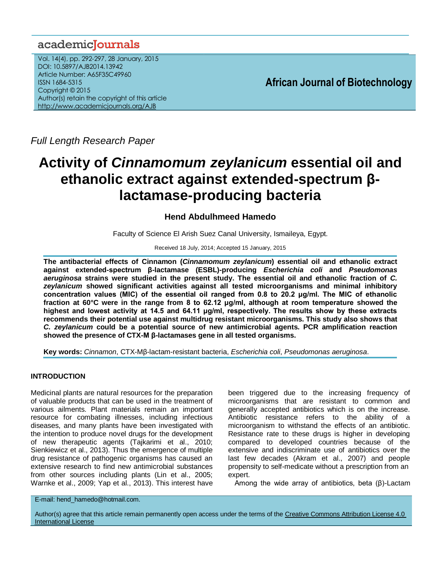## academicJournals

Vol. 14(4), pp. 292-297, 28 January, 2015 DOI: 10.5897/AJB2014.13942 Article Number: A65F35C49960 ISSN 1684-5315 Copyright © 2015 Author(s) retain the copyright of this article <http://www.academicjournals.org/AJB>

**African Journal of Biotechnology**

*Full Length Research Paper*

# **Activity of** *Cinnamomum zeylanicum* **essential oil and ethanolic extract against extended-spectrum βlactamase-producing bacteria**

## **Hend Abdulhmeed Hamedo**

Faculty of Science El Arish Suez Canal University, Ismaileya, Egypt.

Received 18 July, 2014; Accepted 15 January, 2015

**The antibacterial effects of Cinnamon (***Cinnamomum zeylanicum***) essential oil and ethanolic extract against extended-spectrum β-lactamase (ESBL)-producing** *Escherichia coli* **and** *Pseudomonas aeruginosa* **strains were studied in the present study. The essential oil and ethanolic fraction of** *C. zeylanicum* **showed significant activities against all tested microorganisms and minimal inhibitory concentration values (MIC) of the essential oil ranged from 0.8 to 20.2 μg/ml. The MIC of ethanolic fraction at 60°C were in the range from 8 to 62.12 μg/ml, although at room temperature showed the highest and lowest activity at 14.5 and 64.11 μg/ml, respectively. The results show by these extracts recommends their potential use against multidrug resistant microorganisms. This study also shows that**  *C. zeylanicum* **could be a potential source of new antimicrobial agents. PCR amplification reaction showed the presence of CTX-M β-lactamases gene in all tested organisms.**

**Key words:** *Cinnamon*, CTX-Mβ-lactam-resistant bacteria, *Escherichia coli*, *Pseudomonas aeruginosa*.

## **INTRODUCTION**

Medicinal plants are natural resources for the preparation of valuable products that can be used in the treatment of various ailments. Plant materials remain an important resource for combating illnesses, including infectious diseases, and many plants have been investigated with the intention to produce novel drugs for the development of new therapeutic agents (Tajkarimi et al., 2010; Sienkiewicz et al., 2013). Thus the emergence of multiple drug resistance of pathogenic organisms has caused an extensive research to find new antimicrobial substances from other sources including plants (Lin et al., 2005; Warnke et al., 2009; Yap et al., 2013). This interest have

been triggered due to the increasing frequency of microorganisms that are resistant to common and generally accepted antibiotics which is on the increase. Antibiotic resistance refers to the ability of a microorganism to withstand the effects of an antibiotic. Resistance rate to these drugs is higher in developing compared to developed countries because of the extensive and indiscriminate use of antibiotics over the last few decades (Akram et al., 2007) and people propensity to self-medicate without a prescription from an expert.

Among the wide array of antibiotics, beta (β)-Lactam

E-mail: hend\_hamedo@hotmail.com.

Author(s) agree that this article remain permanently open access under the terms of the Creative Commons Attribution License 4.0 [International License](http://creativecommons.org/licenses/by/4.0/deed.en_US)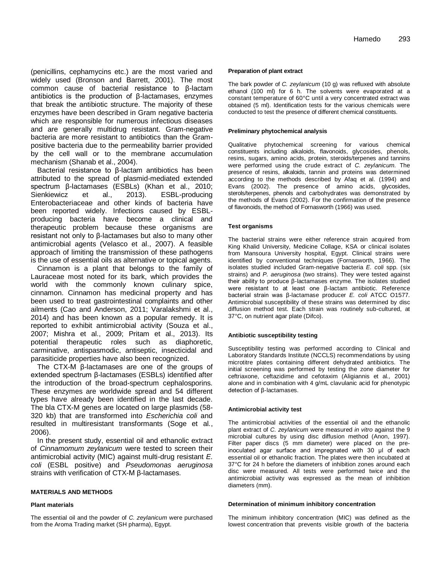(penicillins, cephamycins etc.) are the most varied and widely used (Bronson and Barrett, 2001). The most common cause of bacterial resistance to β-lactam antibiotics is the production of β-lactamases, enzymes that break the antibiotic structure. The majority of these enzymes have been described in Gram negative bacteria which are responsible for numerous infectious diseases and are generally multidrug resistant. Gram-negative bacteria are more resistant to antibiotics than the Grampositive bacteria due to the permeability barrier provided by the cell wall or to the membrane accumulation mechanism (Shanab et al., 2004).

Bacterial resistance to β-lactam antibiotics has been attributed to the spread of plasmid-mediated extended spectrum β-lactamases (ESBLs) (Khan et al., 2010; Sienkiewicz et al., 2013). ESBL-producing Enterobacteriaceae and other kinds of bacteria have been reported widely. Infections caused by ESBLproducing bacteria have become a clinical and therapeutic problem because these organisms are resistant not only to β-lactamases but also to many other antimicrobial agents (Velasco et al., 2007). A feasible approach of limiting the transmission of these pathogens is the use of essential oils as alternative or topical agents.

Cinnamon is a plant that belongs to the family of Lauraceae most noted for its bark, which provides the world with the commonly known culinary spice, cinnamon. Cinnamon has medicinal property and has been used to treat gastrointestinal complaints and other ailments (Cao and Anderson, 2011; Varalakshmi et al., 2014) and has been known as a popular remedy. It is reported to exhibit antimicrobial activity (Souza et al., 2007; Mishra et al., 2009; Pritam et al., 2013). Its potential therapeutic roles such as diaphoretic, carminative, antispasmodic, antiseptic, insecticidal and parasiticide properties have also been recognized.

The CTX-M β-lactamases are one of the groups of extended spectrum β-lactamases (ESBLs) identified after the introduction of the broad-spectrum cephalosporins. These enzymes are worldwide spread and 54 different types have already been identified in the last decade. The bla CTX-M genes are located on large plasmids (58- 320 kb) that are transformed into *Escherichia coli* and resulted in multiresistant transformants (Soge et al*.*, 2006).

In the present study, essential oil and ethanolic extract of *Cinnamomum zeylanicum* were tested to screen their antimicrobial activity (MIC) against multi-drug resistant *E. coli* (ESBL positive) and *Pseudomonas aeruginosa* strains with verification of CTX-M β-lactamases.

#### **MATERIALS AND METHODS**

#### **Plant materials**

The essential oil and the powder of *C. zeylanicum* were purchased from the Aroma Trading market (SH pharma), Egypt.

#### **Preparation of plant extract**

The bark powder of *C. zeylanicum* (10 g) was refluxed with absolute ethanol (100 ml) for 6 h. The solvents were evaporated at a constant temperature of 60°C until a very concentrated extract was obtained (5 ml). Identification tests for the various chemicals were conducted to test the presence of different chemical constituents.

#### **Preliminary phytochemical analysis**

Qualitative phytochemical screening for various chemical constituents including alkaloids, flavonoids, glycosides, phenols, resins, sugars, amino acids, protein, steroids/terpenes and tannins were performed using the crude extract of *C. zeylanicum.* The presence of resins, alkaloids, tannin and proteins was determined according to the methods described by Afaq et al. (1994) and Evans (2002). The presence of amino acids, glycosides, sterols/terpenes, phenols and carbohydrates was demonstrated by the methods of Evans (2002). For the confirmation of the presence of flavonoids, the method of Fornasworth (1966) was used.

#### **Test organisms**

The bacterial strains were either reference strain acquired from King Khalid University, Medicine Collage, KSA or clinical isolates from Mansoura University hospital, Egypt. Clinical strains were identified by conventional techniques (Fornasworth, 1966). The isolates studied included Gram-negative bacteria *E. coli* spp. (six strains) and *P. aeruginosa* (two strains). They were tested against their ability to produce β-lactamases enzyme. The isolates studied were resistant to at least one β-lactam antibiotic. Reference bacterial strain was β-lactamase producer *E. coli* ATCC O1577. Antimicrobial susceptibility of these strains was determined by disc diffusion method test. Each strain was routinely sub-cultured, at 37°C, on nutrient agar plate (Difco).

#### **Antibiotic susceptibility testing**

Susceptibility testing was performed according to Clinical and Laboratory Standards Institute (NCCLS) recommendations by using microtitre plates containing different dehydrated antibiotics. The initial screening was performed by testing the zone diameter for ceftriaxone, ceftazidime and cefotaxim (Aligiannis et al*.,* 2001) alone and in combination with 4 g/mL clavulanic acid for phenotypic detection of β-lactamases.

#### **Antimicrobial activity test**

The antimicrobial activities of the essential oil and the ethanolic plant extract of *C. zeylanicum* were measured *in vitro* against the 9 microbial cultures by using disc diffusion method (Anon, 1997). Filter paper discs (5 mm diameter) were placed on the preinoculated agar surface and impregnated with 30 μl of each essential oil or ethanolic fraction. The plates were then incubated at 37°C for 24 h before the diameters of inhibition zones around each disc were measured. All tests were performed twice and the antimicrobial activity was expressed as the mean of inhibition diameters (mm).

#### **Determination of minimum inhibitory concentration**

The minimum inhibitory concentration (MIC) was defined as the lowest concentration that prevents visible growth of the bacteria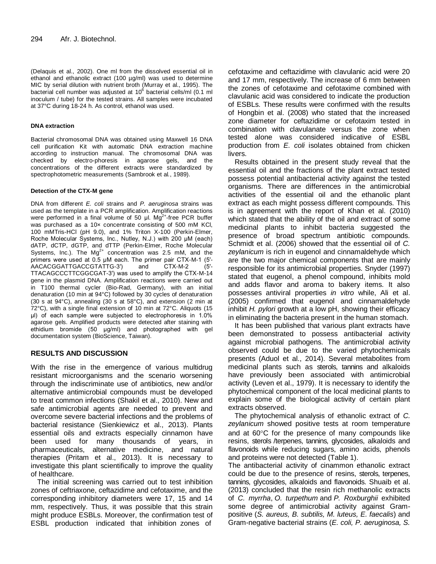(Delaquis et al., 2002). One ml from the dissolved essential oil in ethanol and ethanolic extract (100 µg/ml) was used to determine MIC by serial dilution with nutrient broth (Murray et al., 1995). The bacterial cell number was adjusted at 10 $^6$  bacterial cells/ml (0.1 ml inoculum / tube) for the tested strains. All samples were incubated at 37°C during 18-24 h. As control, ethanol was used.

#### **DNA extraction**

Bacterial chromosomal DNA was obtained using Maxwell 16 DNA cell purification Kit with automatic DNA extraction machine according to instruction manual. The chromosomal DNA was checked by electro-phoresis in agarose gels, and the concentrations of the different extracts were standardized by spectrophotometric measurements (Sambrook et al*.*, 1989).

#### **Detection of the CTX-M gene**

DNA from different *E. coli* strains and *P. aeruginosa* strains was used as the template in a PCR amplification. Amplification reactions were performed in a final volume of 50  $\mu$ l. Mg<sup>2+</sup>-free PCR buffer was purchased as a 10x concentrate consisting of 500 mM KCI, 100 mMTris-HCl (pH 9.0), and 1% Triton X-100 (Perkin-Elmer, Roche Molecular Systems, Inc., Nutley, N.J.) with 200 μM (each) dATP, dCTP, dGTP, and dTTP (Perkin-Elmer, Roche Molecular Systems, Inc.). The  $Mg^{2+}$  concentration was 2.5 mM, and the primers were used at 0.5 μM each. The primer pair CTX-M-1 (5′- AACACGGATTGACCGTATTG-3′) and CTX-M-2 (5′- TTACAGCCCTTCGGCGAT-3′) was used to amplify the CTX-M-14 gene in the plasmid DNA. Amplification reactions were carried out in T100 thermal cycler (Bio-Rad, Germany), with an initial denaturation (10 min at 94°C) followed by 30 cycles of denaturation (30 s at 94°C), annealing (30 s at 58°C), and extension (2 min at 72°C), with a single final extension of 10 min at 72°C. Aliquots (15 μl) of each sample were subjected to electrophoresis in 1.0% agarose gels. Amplified products were detected after staining with ethidium bromide (50 μg/ml) and photographed with gel documentation system (BioScience, Taiwan).

## **RESULTS AND DISCUSSION**

With the rise in the emergence of various multidrug resistant microorganisms and the scenario worsening through the indiscriminate use of antibiotics, new and/or alternative antimicrobial compounds must be developed to treat common infections (Shakil et al., 2010). New and safe antimicrobial agents are needed to prevent and overcome severe bacterial infections and the problems of bacterial resistance (Sienkiewicz et al., 2013). Plants essential oils and extracts especially cinnamon have been used for many thousands of years, in pharmaceuticals, alternative medicine, and natural therapies (Pritam et al., 2013). It is necessary to investigate this plant scientifically to improve the quality of healthcare.

The initial screening was carried out to test inhibition zones of ceftriaxone, ceftazidime and cefotaxime, and the corresponding inhibitory diameters were 17, 15 and 14 mm, respectively. Thus, it was possible that this strain might produce ESBLs. Moreover, the confirmation test of ESBL production indicated that inhibition zones of

cefotaxime and ceftazidime with clavulanic acid were 20 and 17 mm, respectively. The increase of 6 mm between the zones of cefotaxime and cefotaxime combined with clavulanic acid was considered to indicate the production of ESBLs. These results were confirmed with the results of Hongbin et al. (2008) who stated that the increased zone diameter for ceftazidime or cefotaxim tested in combination with clavulanate versus the zone when tested alone was considered indicative of ESBL production from *E. coli* isolates obtained from chicken livers.

Results obtained in the present study reveal that the essential oil and the fractions of the plant extract tested possess potential antibacterial activity against the tested organisms. There are differences in the antimicrobial activities of the essential oil and the ethanolic plant extract as each might possess different compounds. This is in agreement with the report of Khan et al. (2010) which stated that the ability of the oil and extract of some medicinal plants to inhibit bacteria suggested the presence of broad spectrum antibiotic compounds. Schmidt et al. (2006) showed that the essential oil of *C. zeylanicum* is rich in eugenol and cinnamaldehyde which are the two major chemical components that are mainly responsible for its antimicrobial properties. Snyder (1997) stated that eugenol, a phenol compound, inhibits mold and adds flavor and aroma to bakery items. It also possesses antiviral properties *in vitro* while, Ali et al. (2005) confirmed that eugenol and cinnamaldehyde inhibit *H. pylori* growth at a low pH, showing their efficacy in eliminating the bacteria present in the human stomach.

It has been published that various plant extracts have been demonstrated to possess antibacterial activity against microbial pathogens. The antimicrobial activity observed could be due to the varied phytochemicals presents (Aduol et al., 2014). Several metabolites from medicinal plants such as sterols, tannins and alkaloids have previously been associated with antimicrobial activity (Leven et al., 1979). It is necessary to identify the phytochemical component of the local medicinal plants to explain some of the biological activity of certain plant extracts observed.

The phytochemical analysis of ethanolic extract of *C. zeylanicum* showed positive tests at room temperature and at  $60^{\circ}$ C for the presence of many compounds like resins, sterols /terpenes, tannins, glycosides, alkaloids and flavonoids while reducing sugars, amino acids, phenols and proteins were not detected (Table 1).

The antibacterial activity of cinammon ethanolic extract could be due to the presence of resins, sterols, terpenes, tannins, glycosides, alkaloids and flavonoids. [Shuaib](http://www.ncbi.nlm.nih.gov/pubmed/?term=Shuaib%20M%5Bauth%5D) et al. (2013) concluded that the resin rich methanolic extracts of *C. myrrha*, *O. turpethum* and *P. Roxburghii* exhibited some degree of antimicrobial activity against Grampositive (*S. aureus, B. subtilis, M. luteus, E. faecalis*) and Gram-negative bacterial strains (*E. coli, P. aeruginosa, S.*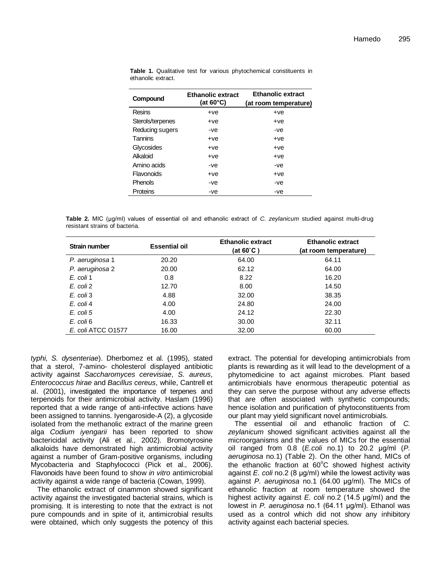| Compound         | <b>Ethanolic extract</b><br>(at $60^{\circ}$ C) | <b>Ethanolic extract</b><br>(at room temperature) |  |
|------------------|-------------------------------------------------|---------------------------------------------------|--|
| Resins           | +ve                                             | $+ve$                                             |  |
| Sterols/terpenes | +ve                                             | $+ve$                                             |  |
| Reducing sugers  | -ve                                             | -ve                                               |  |
| Tannins          | +ve                                             | $+ve$                                             |  |
| Glycosides       | +ve                                             | $+ve$                                             |  |
| Alkaloid         | +ve                                             | $+ve$                                             |  |
| Amino acids      | -ve                                             | -ve                                               |  |
| Flavonoids       | +ve                                             | $+ve$                                             |  |
| Phenols          | -ve                                             | -ve                                               |  |
| Proteins         | -ve                                             | -ve                                               |  |

**Table 1.** Qualitative test for various phytochemical constituents in ethanolic extract.

**Table 2.** MIC (μg/ml) values of essential oil and ethanolic extract of *C. zeylanicum* studied against multi-drug resistant strains of bacteria.

| <b>Strain number</b> | <b>Essential oil</b> | <b>Ethanolic extract</b><br>(at 60°C ) | <b>Ethanolic extract</b><br>(at room temperature) |
|----------------------|----------------------|----------------------------------------|---------------------------------------------------|
| P. aeruginosa 1      | 20.20                | 64.00                                  | 64.11                                             |
| P. aeruginosa 2      | 20.00                | 62.12                                  | 64.00                                             |
| E. coli 1            | 0.8                  | 8.22                                   | 16.20                                             |
| E. coli 2            | 12.70                | 8.00                                   | 14.50                                             |
| E. coli 3            | 4.88                 | 32.00                                  | 38.35                                             |
| E. coli 4            | 4.00                 | 24.80                                  | 24.00                                             |
| E. coli 5            | 4.00                 | 24.12                                  | 22.30                                             |
| E. coli 6            | 16.33                | 30.00                                  | 32.11                                             |
| E. coli ATCC 01577   | 16.00                | 32.00                                  | 60.00                                             |

*typhi, S. dysenteriae*). Dherbomez et al*.* (1995), stated that a sterol, 7-amino- cholesterol displayed antibiotic activity against *Saccharomyces cerevisiae*, *S. aureus*, *Enterococcus hirae* and *Bacillus cereus*, while, Cantrell et al. (2001), investigated the importance of terpenes and terpenoids for their antimicrobial activity. Haslam (1996) reported that a wide range of anti-infective actions have been assigned to tannins. Iyengaroside-A (2), a glycoside isolated from the methanolic extract of the marine green alga *Codium iyengarii* has been reported to show bactericidal activity (Ali et al*.,* 2002). Bromotyrosine alkaloids have demonstrated high antimicrobial activity against a number of Gram-positive organisms, including Mycobacteria and Staphylococci (Pick et al*.,* 2006). Flavonoids have been found to show *in vitro* antimicrobial activity against a wide range of bacteria (Cowan, 1999).

The ethanolic extract of cinammon showed significant activity against the investigated bacterial strains, which is promising. It is interesting to note that the extract is not pure compounds and in spite of it, antimicrobial results were obtained, which only suggests the potency of this

extract. The potential for developing antimicrobials from plants is rewarding as it will lead to the development of a phytomedicine to act against microbes. Plant based antimicrobials have enormous therapeutic potential as they can serve the purpose without any adverse effects that are often associated with synthetic compounds; hence isolation and purification of phytoconstituents from our plant may yield significant novel antimicrobials.

The essential oil and ethanolic fraction of *C. zeylanicum* showed significant activities against all the microorganisms and the values of MICs for the essential oil ranged from 0.8 (*E.coli* no.1) to 20.2 μg/ml (*P. aeruginosa* no.1) (Table 2). On the other hand, MICs of the ethanolic fraction at  $60^{\circ}$ C showed highest activity against *E. coli* no.2 (8 μg/ml) while the lowest activity was against *P. aeruginosa* no.1 (64.00 μg/ml). The MICs of ethanolic fraction at room temperature showed the highest activity against *E. coli* no.2 (14.5 μg/ml) and the lowest in *P. aeruginosa* no.1 (64.11 μg/ml). Ethanol was used as a control which did not show any inhibitory activity against each bacterial species.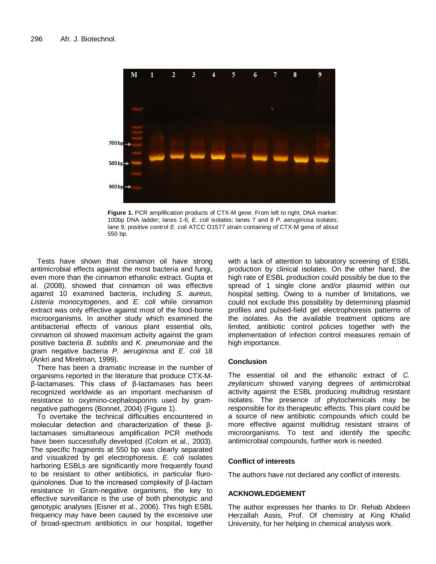

**Figure 1.** PCR amplification products of CTX-M gene. From left to right; DNA marker: 100bp DNA ladder; lanes 1-6, *E. coli* isolates; lanes 7 and 8 *P. aeruginosa* isolates; lane 9, positive control *E. coli* ATCC O1577 strain containing of CTX-M gene of about 550 bp.

Tests have shown that cinnamon oil have strong antimicrobial effects against the most bacteria and fungi, even more than the cinnamon ethanolic extract. Gupta et al. (2008), showed that cinnamon oil was effective against 10 examined bacteria, including *S. aureus*, *Listeria monocytogenes*, and *E. coli* while cinnamon extract was only effective against most of the food-borne microorganisms. In another study which examined the antibacterial effects of various plant essential oils, cinnamon oil showed maximum activity against the gram positive bacteria *B. subtilis* and *K. pneumoniae* and the gram negative bacteria *P. aeruginosa* and *E. coli* 18 (Ankri and Mirelman, 1999).

There has been a dramatic increase in the number of organisms reported in the literature that produce CTX-Mβ-lactamases. This class of β-lactamases has been recognized worldwide as an important mechanism of resistance to oxyimino-cephalosporins used by gramnegative pathogens (Bonnet, 2004) (Figure 1).

To overtake the technical difficulties encountered in molecular detection and characterization of these βlactamases simultaneous amplification PCR methods have been successfully developed (Colom et al., 2003). The specific fragments at 550 bp was clearly separated and visualized by gel electrophoresis. *E. coli* isolates harboring ESBLs are significantly more frequently found to be resistant to other antibiotics, in particular fluroquinolones. Due to the increased complexity of β-lactam resistance in Gram-negative organisms, the key to effective surveillance is the use of both phenotypic and genotypic analyses (Eisner et al., 2006). This high ESBL frequency may have been caused by the excessive use of broad-spectrum antibiotics in our hospital, together with a lack of attention to laboratory screening of ESBL production by clinical isolates. On the other hand, the high rate of ESBL production could possibly be due to the spread of 1 single clone and/or plasmid within our hospital setting. Owing to a number of limitations, we could not exclude this possibility by determining plasmid profiles and pulsed-field gel electrophoresis patterns of the isolates. As the available treatment options are limited, antibiotic control policies together with the implementation of infection control measures remain of high importance.

#### **Conclusion**

The essential oil and the ethanolic extract of *C. zeylanicum* showed varying degrees of antimicrobial activity against the ESBL producing multidrug resistant isolates. The presence of phytochemicals may be responsible for its therapeutic effects. This plant could be a source of new antibiotic compounds which could be more effective against multidrug resistant strains of microorganisms. To test and identify the specific antimicrobial compounds, further work is needed.

## **Conflict of interests**

The authors have not declared any conflict of interests.

## **ACKNOWLEDGEMENT**

The author expresses her thanks to Dr. Rehab Abdeen Herzallah Assis, Prof. Of chemistry at King Khalid University, for her helping in chemical analysis work.